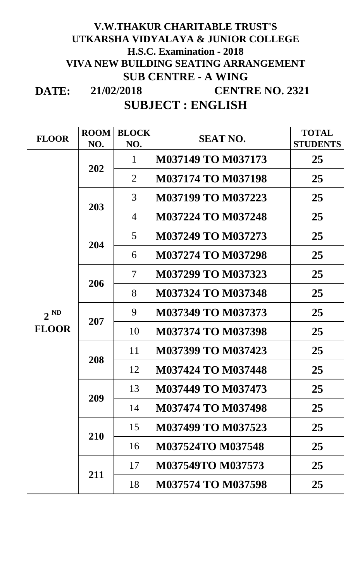### **DATE: V.W.THAKUR CHARITABLE TRUST'S UTKARSHA VIDYALAYA & JUNIOR COLLEGE H.S.C. Examination - 2018 VIVA NEW BUILDING SEATING ARRANGEMENT SUB CENTRE - A WING CENTRE NO. 2321 21/02/2018**

## **SUBJECT : ENGLISH**

| <b>FLOOR</b>             | <b>ROOM</b> | <b>BLOCK</b>             | <b>SEAT NO.</b>           | <b>TOTAL</b>    |
|--------------------------|-------------|--------------------------|---------------------------|-----------------|
|                          | NO.         | NO.                      |                           | <b>STUDENTS</b> |
|                          | 202         | $\mathbf 1$              | <b>M037149 TO M037173</b> | 25              |
|                          |             | $\overline{2}$           | <b>M037174 TO M037198</b> | 25              |
|                          | 203         | $\mathfrak{Z}$           | <b>M037199 TO M037223</b> | 25              |
|                          |             | $\overline{4}$           | <b>M037224 TO M037248</b> | 25              |
|                          | 204         | 5 <sup>5</sup>           | M037249 TO M037273        | 25              |
|                          |             | 6                        | <b>M037274 TO M037298</b> | 25              |
|                          | 206         | $\overline{\mathcal{L}}$ | M037299 TO M037323        | 25              |
| $2^{ND}$<br><b>FLOOR</b> |             | 8                        | <b>M037324 TO M037348</b> | 25              |
|                          | 207         | 9                        | <b>M037349 TO M037373</b> | 25              |
|                          |             | 10                       | <b>M037374 TO M037398</b> | 25              |
|                          | 208         | 11                       | M037399 TO M037423        | 25              |
|                          |             | 12                       | M037424 TO M037448        | 25              |
|                          | 209         | 13                       | M037449 TO M037473        | 25              |
|                          |             | 14                       | <b>M037474 TO M037498</b> | 25              |
|                          | 210         | 15                       | M037499 TO M037523        | 25              |
|                          |             | 16                       | M037524TO M037548         | 25              |
|                          | 211         | 17                       | <b>M037549TO M037573</b>  | 25              |
|                          |             | 18                       | <b>M037574 TO M037598</b> | 25              |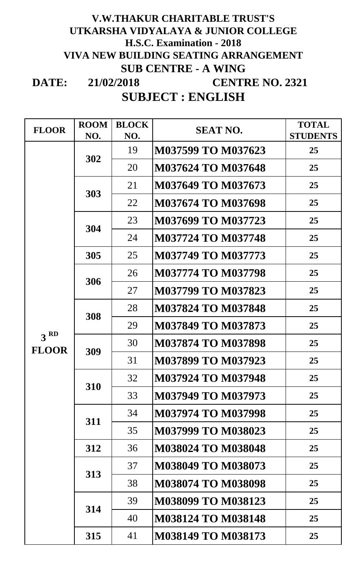### **DATE: SUBJECT : ENGLISH 21/02/2018 V.W.THAKUR CHARITABLE TRUST'S UTKARSHA VIDYALAYA & JUNIOR COLLEGE H.S.C. Examination - 2018 VIVA NEW BUILDING SEATING ARRANGEMENT SUB CENTRE - A WING CENTRE NO. 2321**

| <b>FLOOR</b>                    | <b>ROOM</b><br>NO. | <b>BLOCK</b><br>NO. | <b>SEAT NO.</b>           | <b>TOTAL</b><br><b>STUDENTS</b> |
|---------------------------------|--------------------|---------------------|---------------------------|---------------------------------|
|                                 | 302                | 19                  | M037599 TO M037623        | 25                              |
|                                 |                    | 20                  | <b>M037624 TO M037648</b> | 25                              |
|                                 | 303                | 21                  | M037649 TO M037673        | 25                              |
|                                 |                    | 22                  | <b>M037674 TO M037698</b> | 25                              |
|                                 | 304                | 23                  | M037699 TO M037723        | 25                              |
|                                 |                    | 24                  | <b>M037724 TO M037748</b> | 25                              |
|                                 | 305                | 25                  | <b>M037749 TO M037773</b> | 25                              |
|                                 | 306                | 26                  | <b>M037774 TO M037798</b> | 25                              |
|                                 |                    | 27                  | <b>M037799 TO M037823</b> | 25                              |
|                                 | 308                | 28                  | <b>M037824 TO M037848</b> | 25                              |
|                                 |                    | 29                  | <b>M037849 TO M037873</b> | 25                              |
| 3 <sup>RD</sup><br><b>FLOOR</b> | 309                | 30                  | <b>M037874 TO M037898</b> | 25                              |
|                                 |                    | 31                  | M037899 TO M037923        | 25                              |
|                                 | 310                | 32                  | M037924 TO M037948        | 25                              |
|                                 |                    | 33                  | <b>M037949 TO M037973</b> | 25                              |
|                                 | 311                | 34                  | <b>M037974 TO M037998</b> | 25                              |
|                                 |                    | 35                  | M037999 TO M038023        | 25                              |
|                                 | 312                | 36                  | <b>M038024 TO M038048</b> | 25                              |
|                                 | 313                | 37                  | M038049 TO M038073        | 25                              |
|                                 |                    | 38                  | <b>M038074 TO M038098</b> | 25                              |
|                                 | 314                | 39                  | <b>M038099 TO M038123</b> | 25                              |
|                                 |                    | 40                  | <b>M038124 TO M038148</b> | 25                              |
|                                 | 315                | 41                  | <b>M038149 TO M038173</b> | 25                              |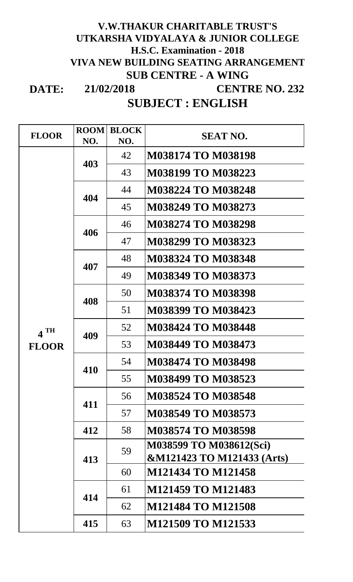### **DATE: 21/02/2018 V.W.THAKUR CHARITABLE TRUST'S UTKARSHA VIDYALAYA & JUNIOR COLLEGE H.S.C. Examination - 2018 VIVA NEW BUILDING SEATING ARRANGEMENT SUB CENTRE - A WING CENTRE NO. 232**

## **SUBJECT : ENGLISH**

| <b>FLOOR</b>      | <b>ROOM</b><br><b>BLOCK</b> |     | <b>SEAT NO.</b>                       |  |
|-------------------|-----------------------------|-----|---------------------------------------|--|
|                   | NO.                         | NO. |                                       |  |
|                   | 403                         | 42  | <b>M038174 TO M038198</b>             |  |
|                   |                             | 43  | <b>M038199 TO M038223</b>             |  |
|                   | 404                         | 44  | <b>M038224 TO M038248</b>             |  |
|                   |                             | 45  | <b>M038249 TO M038273</b>             |  |
|                   | 406                         | 46  | <b>M038274 TO M038298</b>             |  |
|                   |                             | 47  | M038299 TO M038323                    |  |
|                   | 407                         | 48  | <b>M038324 TO M038348</b>             |  |
|                   |                             | 49  | M038349 TO M038373                    |  |
|                   | 408                         | 50  | <b>M038374 TO M038398</b>             |  |
|                   |                             | 51  | <b>M038399 TO M038423</b>             |  |
| $4$ <sup>TH</sup> | 409                         | 52  | <b>M038424 TO M038448</b>             |  |
| <b>FLOOR</b>      |                             | 53  | <b>M038449 TO M038473</b>             |  |
|                   | 410                         | 54  | <b>M038474 TO M038498</b>             |  |
|                   |                             | 55  | M038499 TO M038523                    |  |
|                   | 411                         | 56  | <b>M038524 TO M038548</b>             |  |
|                   |                             | 57  | <b>M038549 TO M038573</b>             |  |
|                   | 412                         | 58  | <b>M038574 TO M038598</b>             |  |
|                   | 413<br>414                  | 59  | M038599 TO M038612(Sci)               |  |
|                   |                             |     | <b>&amp;M121423 TO M121433 (Arts)</b> |  |
|                   |                             | 60  | M121434 TO M121458                    |  |
|                   |                             | 61  | M121459 TO M121483                    |  |
|                   |                             | 62  | <b>M121484 TO M121508</b>             |  |
|                   | 415                         | 63  | M121509 TO M121533                    |  |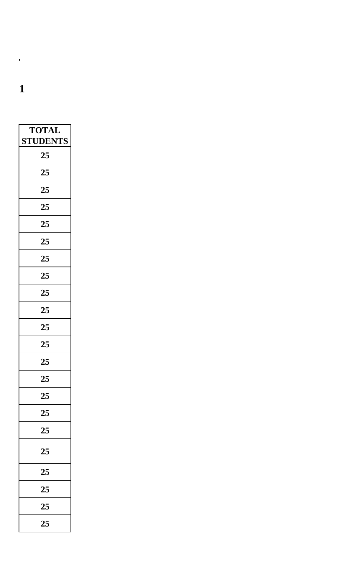**VIVA NEW BUILDING SEATING ARRANGEMENT**

| <b>TOTAL</b>    |
|-----------------|
| <b>STUDENTS</b> |
| 25              |
| 25              |
| 25              |
| 25              |
| 25              |
| 25              |
| 25              |
| 25              |
| 25              |
| 25              |
| 25              |
| 25              |
| 25              |
| 25              |
| 25              |
| 25              |
| 25              |
| 25              |
| 25              |
| 25              |
| 25              |
| 25              |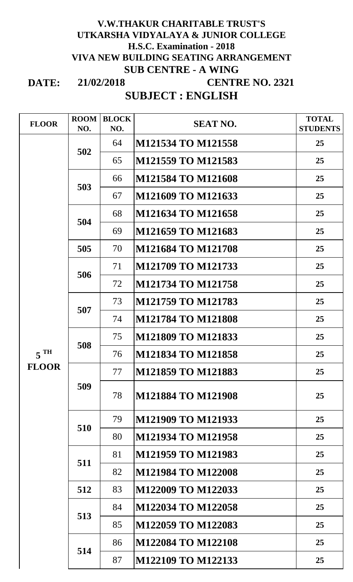### **DATE: 21/02/2018 V.W.THAKUR CHARITABLE TRUST'S UTKARSHA VIDYALAYA & JUNIOR COLLEGE H.S.C. Examination - 2018 VIVA NEW BUILDING SEATING ARRANGEMENT SUB CENTRE - A WING CENTRE NO. 2321**

# **SUBJECT : ENGLISH**

| <b>FLOOR</b>    | <b>ROOM</b> | <b>BLOCK</b> | <b>SEAT NO.</b>           | <b>TOTAL</b>    |
|-----------------|-------------|--------------|---------------------------|-----------------|
|                 | NO.         | NO.          |                           | <b>STUDENTS</b> |
|                 | 502         | 64           | M121534 TO M121558        | 25              |
|                 |             | 65           | M121559 TO M121583        | 25              |
|                 | 503         | 66           | M121584 TO M121608        | 25              |
|                 |             | 67           | M121609 TO M121633        | 25              |
|                 | 504         | 68           | M121634 TO M121658        | 25              |
|                 |             | 69           | M121659 TO M121683        | 25              |
|                 | 505         | 70           | <b>M121684 TO M121708</b> | 25              |
|                 | 506         | 71           | M121709 TO M121733        | 25              |
|                 |             | 72           | M121734 TO M121758        | 25              |
|                 |             | 73           | <b>M121759 TO M121783</b> | 25              |
|                 | 507         | 74           | <b>M121784 TO M121808</b> | 25              |
|                 | 508         | 75           | M121809 TO M121833        | 25              |
| 5 <sup>TH</sup> |             | 76           | <b>M121834 TO M121858</b> | 25              |
| <b>FLOOR</b>    | 509         | 77           | M121859 TO M121883        | 25              |
|                 |             | 78           | <b>M121884 TO M121908</b> | 25              |
|                 | 510         | 79           | M121909 TO M121933        | 25 <sub>1</sub> |
|                 |             | 80           | <b>M121934 TO M121958</b> | 25              |
|                 | 511         | 81           | M121959 TO M121983        | 25              |
|                 |             | 82           | <b>M121984 TO M122008</b> | 25              |
|                 | 512         | 83           | M122009 TO M122033        | 25              |
|                 | 513         | 84           | M122034 TO M122058        | 25              |
|                 |             | 85           | M122059 TO M122083        | 25              |
|                 | 514         | 86           | <b>M122084 TO M122108</b> | 25              |
|                 |             | 87           | M122109 TO M122133        | 25              |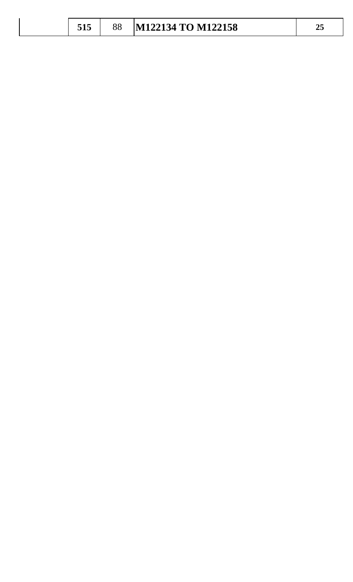|  |  |  | M122134 TO M122158 | — |
|--|--|--|--------------------|---|
|--|--|--|--------------------|---|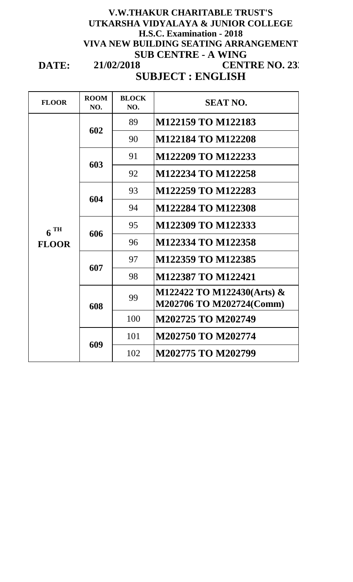### **SUBJECT : ENGLISH 21/02/2018 V.W.THAKUR CHARITABLE TRUST'S UTKARSHA VIDYALAYA & JUNIOR COLLEGE H.S.C. Examination - 2018 VIVA NEW BUILDING SEATING ARRANGEMENT SUB CENTRE - A WING CENTRE NO. 232**

**DATE:**

| <b>FLOOR</b>      | <b>ROOM</b><br>NO. | <b>BLOCK</b><br>NO. | <b>SEAT NO.</b>                                        |
|-------------------|--------------------|---------------------|--------------------------------------------------------|
|                   | 602                | 89                  | M122159 TO M122183                                     |
|                   |                    | 90                  | <b>M122184 TO M122208</b>                              |
|                   | 603                | 91                  | M122209 TO M122233                                     |
|                   |                    | 92                  | M122234 TO M122258                                     |
|                   | 604                | 93                  | M122259 TO M122283                                     |
|                   |                    | 94                  | M122284 TO M122308                                     |
| $6$ <sup>TH</sup> | 606                | 95                  | M122309 TO M122333                                     |
| <b>FLOOR</b>      |                    | 96                  | M122334 TO M122358                                     |
|                   | 607                | 97                  | M122359 TO M122385                                     |
|                   |                    | 98                  | M122387 TO M122421                                     |
|                   | 608                | 99                  | M122422 TO M122430(Arts) &<br>M202706 TO M202724(Comm) |
|                   |                    | 100                 | M202725 TO M202749                                     |
|                   | 609                | 101                 | M202750 TO M202774                                     |
|                   |                    | 102                 | M202775 TO M202799                                     |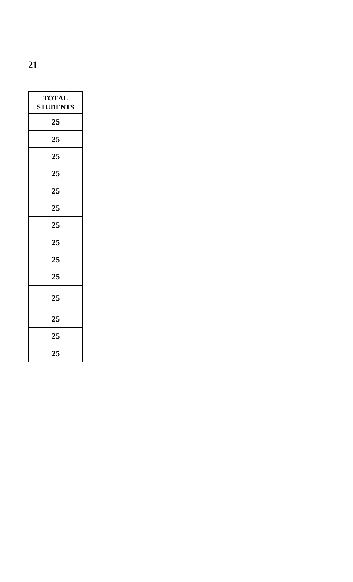|--|

| <b>TOTAL</b><br><b>STUDENTS</b> |
|---------------------------------|
| 25                              |
| 25                              |
| 25                              |
| 25                              |
| 25                              |
| 25                              |
| 25                              |
| 25                              |
| 25                              |
| 25                              |
| 25                              |
| 25                              |
| 25                              |
| 25                              |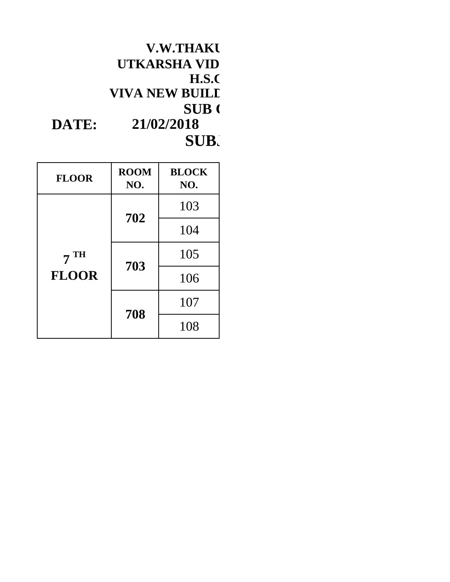|       | <b>V.W.THAKU</b>      |  |
|-------|-----------------------|--|
|       | UTKARSHA VID          |  |
|       | <b>H.S.C</b>          |  |
|       | <b>VIVA NEW BUILL</b> |  |
|       | <b>SUB</b>            |  |
| DATE: | 21/02/2018            |  |
|       | SUB.                  |  |

| <b>FLOOR</b>   | <b>ROOM</b><br>NO. | <b>BLOCK</b><br>NO. |
|----------------|--------------------|---------------------|
|                | 702                | 103                 |
|                |                    | 104                 |
| <b>TH</b><br>7 | 703<br>708         | 105                 |
| <b>FLOOR</b>   |                    | 106                 |
|                |                    | 107                 |
|                |                    | 108                 |